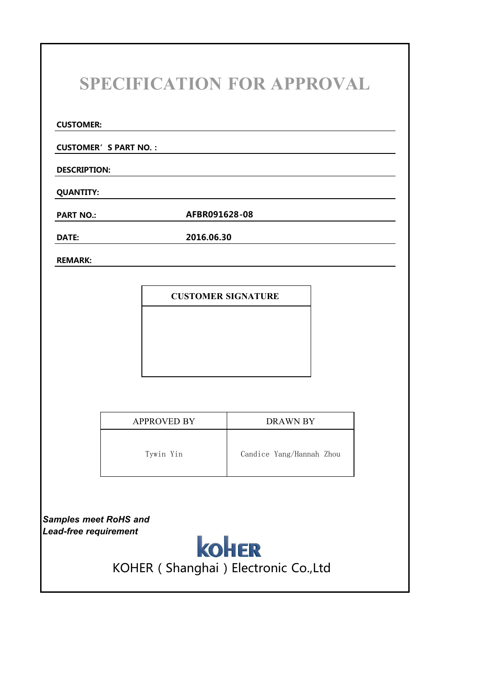### **SPECIFICATION FOR APPROVAL**

**CUSTOMER:**

**CUSTOMER'S PART NO.:**

**DESCRIPTION:**

**QUANTITY:**

**PART NO.: AFBR091628-08**

**DATE: 2016.06.30**

**REMARK:**

**CUSTOMER SIGNATURE**

| <b>APPROVED BY</b> | DRAWN BY                 |
|--------------------|--------------------------|
| Tywin Yin          | Candice Yang/Hannah Zhou |

*Samples meet RoHS and*



KOHER (Shanghai) Electronic Co.,Ltd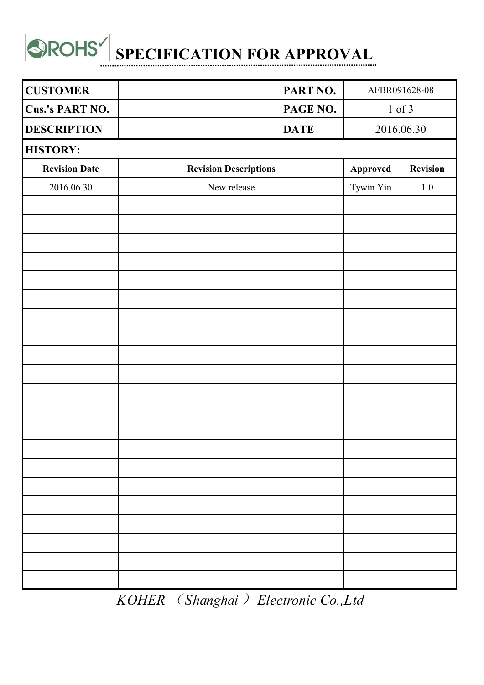

| <b>CUSTOMER</b>      |                              | PART NO.    |           | AFBR091628-08 |  |
|----------------------|------------------------------|-------------|-----------|---------------|--|
| Cus.'s PART NO.      |                              | PAGE NO.    |           | $1$ of $3$    |  |
| <b>DESCRIPTION</b>   |                              | <b>DATE</b> |           | 2016.06.30    |  |
| <b>HISTORY:</b>      |                              |             |           |               |  |
| <b>Revision Date</b> | <b>Revision Descriptions</b> |             | Approved  | Revision      |  |
| 2016.06.30           | New release                  |             | Tywin Yin | 1.0           |  |
|                      |                              |             |           |               |  |
|                      |                              |             |           |               |  |
|                      |                              |             |           |               |  |
|                      |                              |             |           |               |  |
|                      |                              |             |           |               |  |
|                      |                              |             |           |               |  |
|                      |                              |             |           |               |  |
|                      |                              |             |           |               |  |
|                      |                              |             |           |               |  |
|                      |                              |             |           |               |  |
|                      |                              |             |           |               |  |
|                      |                              |             |           |               |  |
|                      |                              |             |           |               |  |
|                      |                              |             |           |               |  |
|                      |                              |             |           |               |  |
|                      |                              |             |           |               |  |
|                      |                              |             |           |               |  |
|                      |                              |             |           |               |  |
|                      |                              |             |           |               |  |
|                      |                              |             |           |               |  |
|                      |                              |             |           |               |  |

*KOHER* (*Shanghai*)*Electronic Co.,Ltd*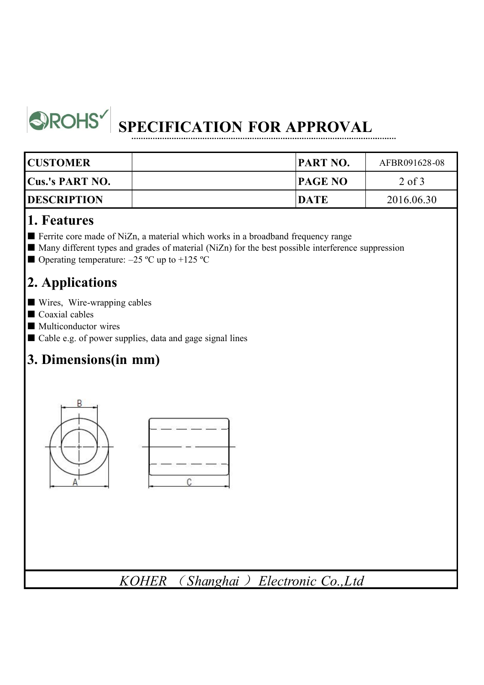

## **SPECIFICATION FOR APPROVAL**

| <b>CUSTOMER</b>        | <b>PART NO.</b> | AFBR091628-08 |  |
|------------------------|-----------------|---------------|--|
| <b>Cus.'s PART NO.</b> | <b>PAGE NO</b>  | $2$ of $3$    |  |
| <b>DESCRIPTION</b>     | <b>DATE</b>     | 2016.06.30    |  |

#### **1. Features**

- Ferrite core made of NiZn, a material which works in a broadband frequency range
- Many different types and grades of material (NiZn) for the best possible interference suppression
- Operating temperature:  $-25$  °C up to  $+125$  °C

#### **2. Applications**

- Wires, Wire-wrapping cables
- Coaxial cables
- Multiconductor wires
- Cable e.g. of power supplies, data and gage signal lines

#### **3. Dimensions(in mm)**



*KOHER* ( *Shanghai* ) *Electronic Co.,Ltd*